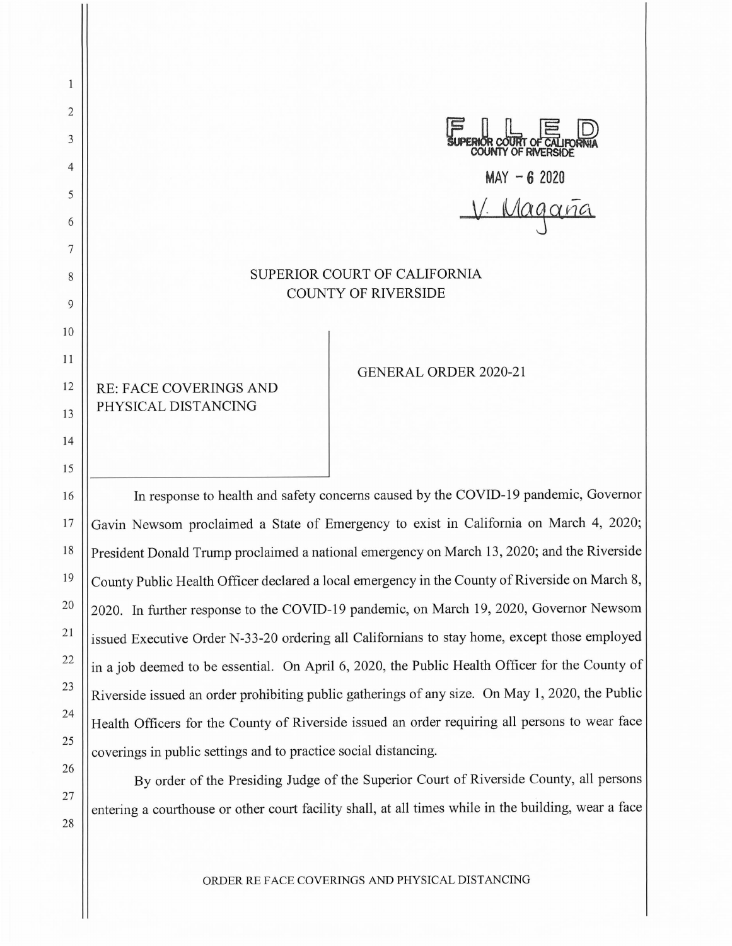2 3 4 5 6 7 8 9 10 11 12 13 14 15 16 17 18 19 20 U\_ DE U<br>R COURT OF CALIFORNIA<br>NTY OF RIVERSIDE **MAY - 6 2020**  *Magana* SUPERIOR COURT OF CALIFORNIA COUNTY OF RIVERSIDE RE: FACE COVERINGS AND PHYSICAL DISTANCING GENERAL ORDER 2020-21 In response to health and safety concerns caused by the COVID-19 pandemic, Governor

Gavin Newsom proclaimed a State of Emergency to exist in California on March 4, 2020; President Donald Trump proclaimed a national emergency on March 13, 2020; and the Riverside County Public Health Officer declared a local emergency in the County of Riverside on March 8, 2020. In further response to the COVID-19 pandemic, on March 19, 2020, Governor Newsom issued Executive Order N-33-20 ordering all Californians to stay home, except those employed in a job deemed to be essential. On April 6, 2020, the Public Health Officer for the County of Riverside issued an order prohibiting public gatherings of any size. On May 1, 2020, the Public Health Officers for the County of Riverside issued an order requiring all persons to wear face coverings in public settings and to practice social distancing.

21

 $\mathbf{1}$ 

22

23

24

25

26

27

28

By order of the Presiding Judge of the Superior Court of Riverside County, all persons entering a courthouse or other court facility shall, at all times while in the building, wear a face

ORDER RE FACE COVERINGS AND PHYSICAL DISTANCING